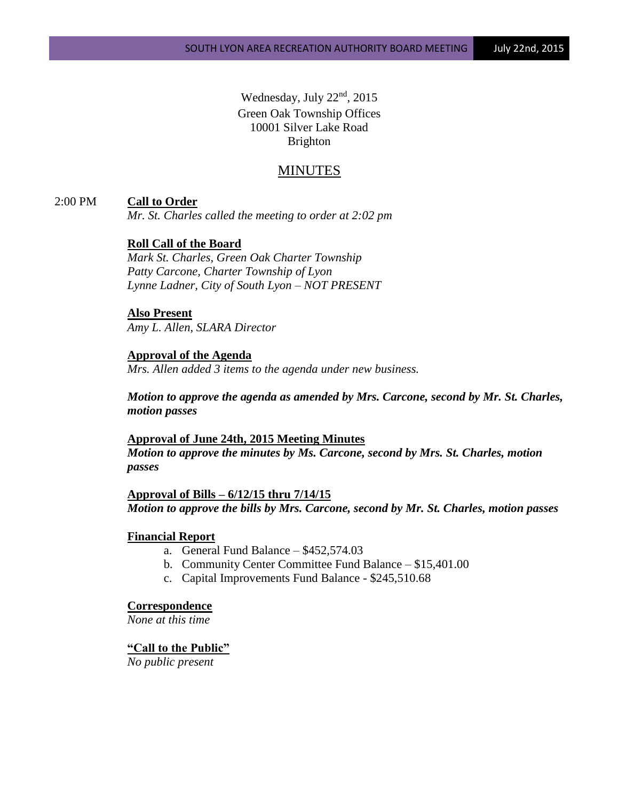Wednesday, July 22<sup>nd</sup>, 2015 Green Oak Township Offices 10001 Silver Lake Road Brighton

# MINUTES

### 2:00 PM **Call to Order**

*Mr. St. Charles called the meeting to order at 2:02 pm*

### **Roll Call of the Board**

*Mark St. Charles, Green Oak Charter Township Patty Carcone, Charter Township of Lyon Lynne Ladner, City of South Lyon – NOT PRESENT*

### **Also Present**

*Amy L. Allen, SLARA Director*

# **Approval of the Agenda**

*Mrs. Allen added 3 items to the agenda under new business.*

*Motion to approve the agenda as amended by Mrs. Carcone, second by Mr. St. Charles, motion passes*

### **Approval of June 24th, 2015 Meeting Minutes** *Motion to approve the minutes by Ms. Carcone, second by Mrs. St. Charles, motion passes*

**Approval of Bills – 6/12/15 thru 7/14/15** *Motion to approve the bills by Mrs. Carcone, second by Mr. St. Charles, motion passes*

#### **Financial Report**

- a. General Fund Balance \$452,574.03
- b. Community Center Committee Fund Balance \$15,401.00
- c. Capital Improvements Fund Balance \$245,510.68

#### **Correspondence**

*None at this time*

### **"Call to the Public"**

*No public present*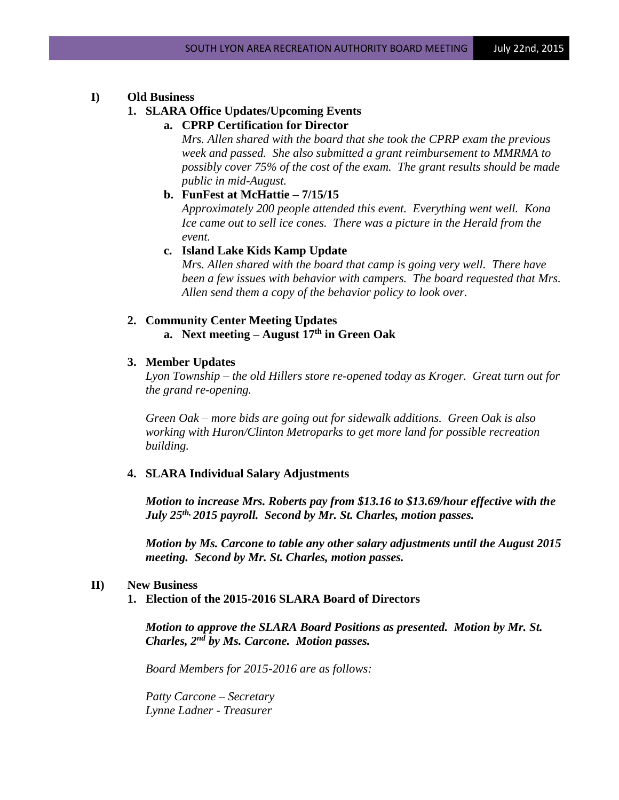#### **I) Old Business**

## **1. SLARA Office Updates/Upcoming Events**

**a. CPRP Certification for Director**

*Mrs. Allen shared with the board that she took the CPRP exam the previous week and passed. She also submitted a grant reimbursement to MMRMA to possibly cover 75% of the cost of the exam. The grant results should be made public in mid-August.*

**b. FunFest at McHattie – 7/15/15**

*Approximately 200 people attended this event. Everything went well. Kona Ice came out to sell ice cones. There was a picture in the Herald from the event.*

**c. Island Lake Kids Kamp Update**

*Mrs. Allen shared with the board that camp is going very well. There have been a few issues with behavior with campers. The board requested that Mrs. Allen send them a copy of the behavior policy to look over.* 

### **2. Community Center Meeting Updates a. Next meeting – August 17th in Green Oak**

#### **3. Member Updates**

*Lyon Township – the old Hillers store re-opened today as Kroger. Great turn out for the grand re-opening.*

*Green Oak – more bids are going out for sidewalk additions. Green Oak is also working with Huron/Clinton Metroparks to get more land for possible recreation building.*

#### **4. SLARA Individual Salary Adjustments**

*Motion to increase Mrs. Roberts pay from \$13.16 to \$13.69/hour effective with the July 25th, 2015 payroll. Second by Mr. St. Charles, motion passes.*

*Motion by Ms. Carcone to table any other salary adjustments until the August 2015 meeting. Second by Mr. St. Charles, motion passes.*

#### **II) New Business**

**1. Election of the 2015-2016 SLARA Board of Directors**

*Motion to approve the SLARA Board Positions as presented. Motion by Mr. St. Charles, 2nd by Ms. Carcone. Motion passes.*

*Board Members for 2015-2016 are as follows:*

*Patty Carcone – Secretary Lynne Ladner - Treasurer*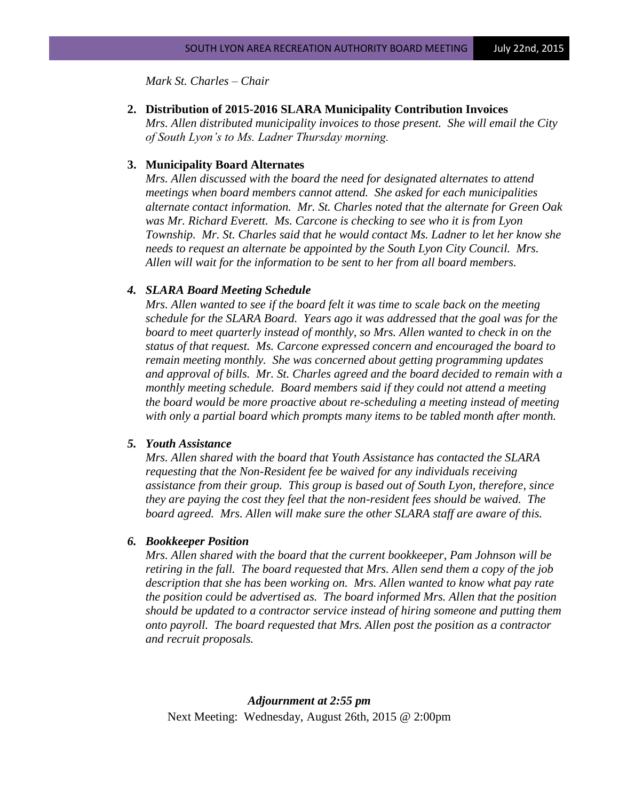*Mark St. Charles – Chair*

#### **2. Distribution of 2015-2016 SLARA Municipality Contribution Invoices**

*Mrs. Allen distributed municipality invoices to those present. She will email the City of South Lyon's to Ms. Ladner Thursday morning.*

#### **3. Municipality Board Alternates**

*Mrs. Allen discussed with the board the need for designated alternates to attend meetings when board members cannot attend. She asked for each municipalities alternate contact information. Mr. St. Charles noted that the alternate for Green Oak was Mr. Richard Everett. Ms. Carcone is checking to see who it is from Lyon Township. Mr. St. Charles said that he would contact Ms. Ladner to let her know she needs to request an alternate be appointed by the South Lyon City Council. Mrs. Allen will wait for the information to be sent to her from all board members.*

#### *4. SLARA Board Meeting Schedule*

*Mrs. Allen wanted to see if the board felt it was time to scale back on the meeting schedule for the SLARA Board. Years ago it was addressed that the goal was for the board to meet quarterly instead of monthly, so Mrs. Allen wanted to check in on the status of that request. Ms. Carcone expressed concern and encouraged the board to remain meeting monthly. She was concerned about getting programming updates and approval of bills. Mr. St. Charles agreed and the board decided to remain with a monthly meeting schedule. Board members said if they could not attend a meeting the board would be more proactive about re-scheduling a meeting instead of meeting with only a partial board which prompts many items to be tabled month after month.*

#### *5. Youth Assistance*

*Mrs. Allen shared with the board that Youth Assistance has contacted the SLARA requesting that the Non-Resident fee be waived for any individuals receiving assistance from their group. This group is based out of South Lyon, therefore, since they are paying the cost they feel that the non-resident fees should be waived. The board agreed. Mrs. Allen will make sure the other SLARA staff are aware of this.*

#### *6. Bookkeeper Position*

*Mrs. Allen shared with the board that the current bookkeeper, Pam Johnson will be retiring in the fall. The board requested that Mrs. Allen send them a copy of the job description that she has been working on. Mrs. Allen wanted to know what pay rate the position could be advertised as. The board informed Mrs. Allen that the position should be updated to a contractor service instead of hiring someone and putting them onto payroll. The board requested that Mrs. Allen post the position as a contractor and recruit proposals.*